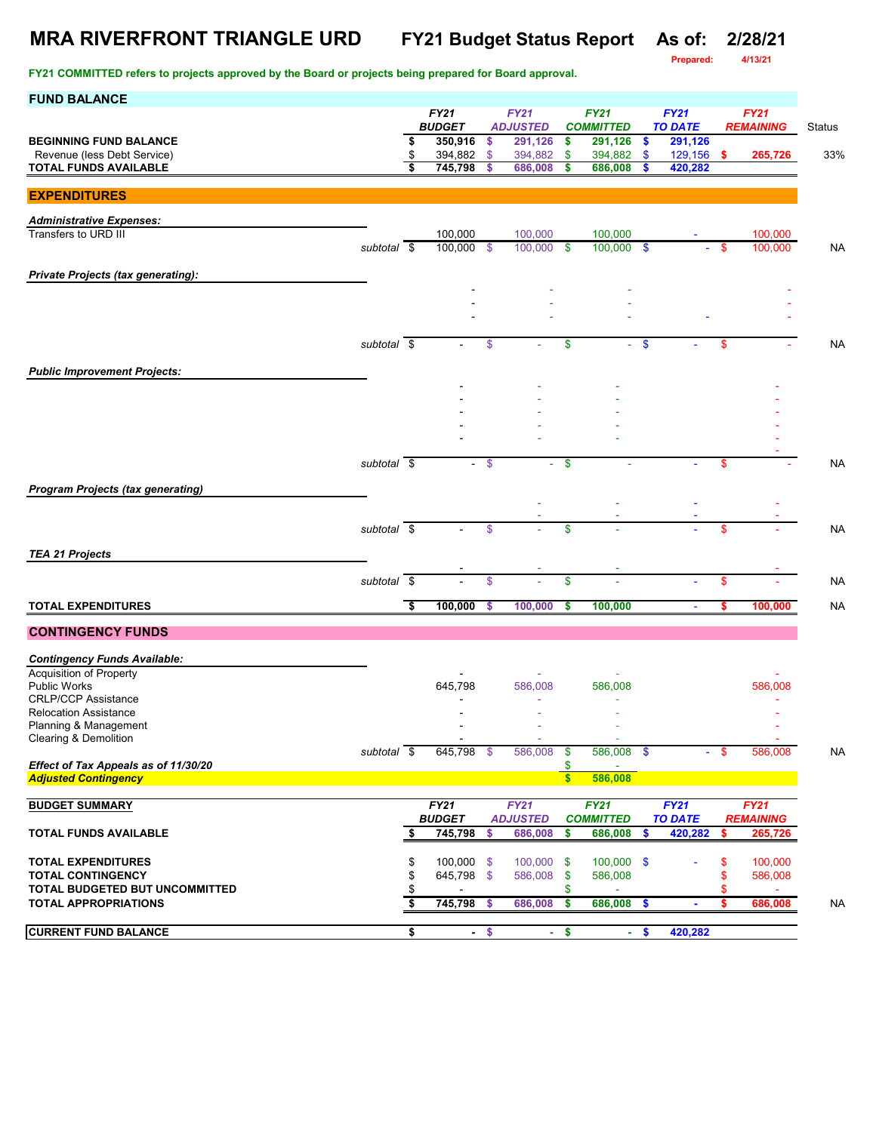### **MRA RIVERFRONT TRIANGLE URD FY21 Budget Status Report As of: 2/28/21**

**Prepared: 4/13/21**

| <b>FUND BALANCE</b>                                                 |                          |                              |        |                                |                               |                                 |                           |                               |      |                                 |           |
|---------------------------------------------------------------------|--------------------------|------------------------------|--------|--------------------------------|-------------------------------|---------------------------------|---------------------------|-------------------------------|------|---------------------------------|-----------|
|                                                                     |                          | <b>FY21</b><br><b>BUDGET</b> |        | <b>FY21</b><br><b>ADJUSTED</b> |                               | <b>FY21</b><br><b>COMMITTED</b> |                           | <b>FY21</b><br><b>TO DATE</b> |      | <b>FY21</b><br><b>REMAINING</b> | Status    |
| <b>BEGINNING FUND BALANCE</b>                                       |                          | \$<br>350,916                | \$     | 291,126                        | \$                            | 291,126                         | \$                        | 291,126                       |      |                                 |           |
| Revenue (less Debt Service)                                         |                          | \$<br>394,882                | \$     | 394,882                        | \$                            | 394,882                         | \$                        | 129,156                       | -\$  | 265,726                         | 33%       |
| <b>TOTAL FUNDS AVAILABLE</b>                                        |                          | \$<br>745,798                | \$     | 686,008                        | \$                            | 686,008                         | \$                        | 420,282                       |      |                                 |           |
| <b>EXPENDITURES</b>                                                 |                          |                              |        |                                |                               |                                 |                           |                               |      |                                 |           |
|                                                                     |                          |                              |        |                                |                               |                                 |                           |                               |      |                                 |           |
| <b>Administrative Expenses:</b><br>Transfers to URD III             |                          |                              |        |                                |                               |                                 |                           |                               |      |                                 |           |
|                                                                     | subtotal \$              | 100,000<br>100.000           | - \$   | 100,000<br>100,000             | \$                            | 100,000<br>$100,000$ \$         |                           |                               | -\$  | 100,000<br>100,000              | <b>NA</b> |
|                                                                     |                          |                              |        |                                |                               |                                 |                           |                               |      |                                 |           |
| <b>Private Projects (tax generating):</b>                           |                          |                              |        |                                |                               |                                 |                           |                               |      |                                 |           |
|                                                                     |                          |                              |        |                                |                               |                                 |                           |                               |      |                                 |           |
|                                                                     |                          |                              |        |                                |                               |                                 |                           |                               |      |                                 |           |
|                                                                     |                          |                              |        |                                |                               |                                 |                           |                               |      |                                 |           |
|                                                                     | subtotal \$              |                              | \$     |                                | \$                            |                                 | $\boldsymbol{\mathsf{s}}$ |                               | \$   |                                 | <b>NA</b> |
|                                                                     |                          |                              |        |                                |                               |                                 |                           |                               |      |                                 |           |
| <b>Public Improvement Projects:</b>                                 |                          |                              |        |                                |                               |                                 |                           |                               |      |                                 |           |
|                                                                     |                          |                              |        |                                |                               |                                 |                           |                               |      |                                 |           |
|                                                                     |                          |                              |        |                                |                               |                                 |                           |                               |      |                                 |           |
|                                                                     |                          |                              |        |                                |                               |                                 |                           |                               |      |                                 |           |
|                                                                     |                          |                              |        |                                |                               |                                 |                           |                               |      |                                 |           |
|                                                                     | subtotal \$              |                              | $-$ \$ |                                | \$                            |                                 |                           |                               | \$   |                                 | <b>NA</b> |
|                                                                     |                          |                              |        |                                |                               |                                 |                           |                               |      |                                 |           |
| <b>Program Projects (tax generating)</b>                            |                          |                              |        |                                |                               |                                 |                           |                               |      |                                 |           |
|                                                                     |                          |                              |        |                                |                               |                                 |                           |                               |      |                                 |           |
|                                                                     | subtotal $\overline{\$}$ | $\sim$                       | \$     |                                | \$                            |                                 |                           |                               | \$   |                                 | <b>NA</b> |
| <b>TEA 21 Projects</b>                                              |                          |                              |        |                                |                               |                                 |                           |                               |      |                                 |           |
|                                                                     |                          |                              |        |                                |                               |                                 |                           |                               |      |                                 |           |
|                                                                     | $subtotal$ \$            |                              | \$     |                                | \$                            |                                 |                           |                               | \$   |                                 | <b>NA</b> |
| <b>TOTAL EXPENDITURES</b>                                           |                          | \$<br>100,000                | \$     | 100,000                        | \$                            | 100,000                         |                           | $\blacksquare$                | \$   | 100,000                         | <b>NA</b> |
|                                                                     |                          |                              |        |                                |                               |                                 |                           |                               |      |                                 |           |
| <b>CONTINGENCY FUNDS</b>                                            |                          |                              |        |                                |                               |                                 |                           |                               |      |                                 |           |
| <b>Contingency Funds Available:</b>                                 |                          |                              |        |                                |                               |                                 |                           |                               |      |                                 |           |
| Acquisition of Property                                             |                          |                              |        |                                |                               |                                 |                           |                               |      |                                 |           |
| <b>Public Works</b>                                                 |                          | 645,798                      |        | 586,008                        |                               | 586,008                         |                           |                               |      | 586,008                         |           |
| <b>CRLP/CCP Assistance</b><br><b>Relocation Assistance</b>          |                          |                              |        |                                |                               |                                 |                           |                               |      |                                 |           |
| Planning & Management                                               |                          |                              |        |                                |                               |                                 |                           |                               |      |                                 |           |
| Clearing & Demolition                                               |                          |                              |        |                                |                               |                                 |                           |                               |      |                                 |           |
|                                                                     | subtotal $\sqrt{s}$      | 645,798 \$                   |        | 586,008                        | \$                            | 586,008 \$                      |                           |                               | - \$ | 586,008                         | <b>NA</b> |
| Effect of Tax Appeals as of 11/30/20<br><b>Adjusted Contingency</b> |                          |                              |        |                                | \$<br>$\overline{\mathbf{s}}$ | 586,008                         |                           |                               |      |                                 |           |
|                                                                     |                          |                              |        |                                |                               |                                 |                           |                               |      |                                 |           |
| <b>BUDGET SUMMARY</b>                                               |                          | FY21                         |        | <b>FY21</b>                    |                               | <b>FY21</b>                     |                           | FY21                          |      | <b>FY21</b>                     |           |
|                                                                     |                          | <b>BUDGET</b>                |        | <b>ADJUSTED</b>                |                               | <b>COMMITTED</b>                |                           | <b>TO DATE</b>                |      | <b>REMAINING</b>                |           |
| <b>TOTAL FUNDS AVAILABLE</b>                                        |                          | \$<br>745,798                | \$     | 686,008                        | \$                            | 686,008                         | \$                        | 420,282                       | \$   | 265,726                         |           |
| <b>TOTAL EXPENDITURES</b>                                           |                          | \$<br>100,000 \$             |        | 100,000 \$                     |                               | $100,000$ \$                    |                           |                               | \$   | 100,000                         |           |
| <b>TOTAL CONTINGENCY</b>                                            |                          | \$<br>645,798 \$             |        | 586,008                        | \$                            | 586,008                         |                           |                               | \$   | 586,008                         |           |
| TOTAL BUDGETED BUT UNCOMMITTED                                      |                          | \$                           |        |                                | \$                            |                                 |                           |                               |      | $\omega$                        |           |
| <b>TOTAL APPROPRIATIONS</b>                                         |                          | \$<br>745,798                | -\$    | 686,008                        | \$                            | 686,008                         | \$                        | $\blacksquare$                | \$   | 686,008                         | <b>NA</b> |
| <b>CURRENT FUND BALANCE</b>                                         |                          | \$                           | $-$ \$ |                                | $-5$                          |                                 | $-$ \$                    | 420,282                       |      |                                 |           |
|                                                                     |                          |                              |        |                                |                               |                                 |                           |                               |      |                                 |           |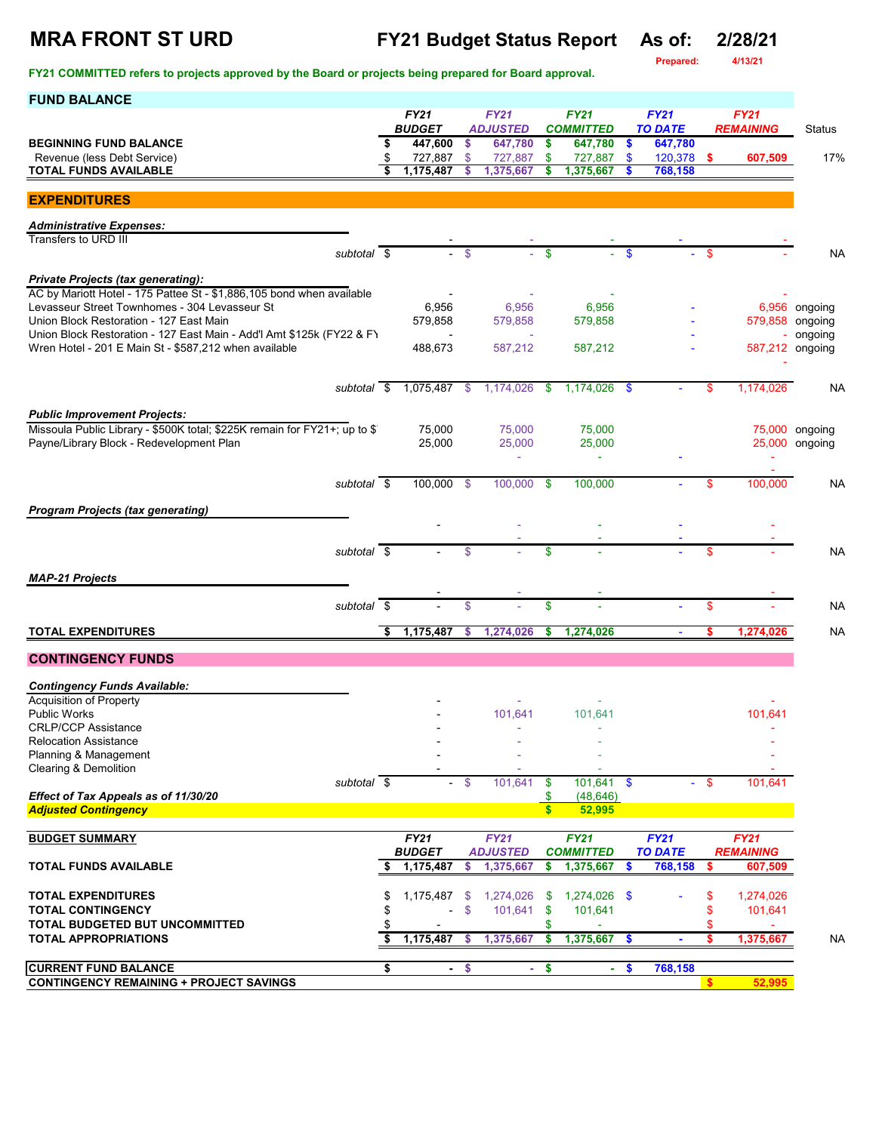**Prepared:** 

| <b>FUND BALANCE</b>                                                                                                            |                              |                     |                                    |                                 |                               |               |                               |          |                                 |                                  |
|--------------------------------------------------------------------------------------------------------------------------------|------------------------------|---------------------|------------------------------------|---------------------------------|-------------------------------|---------------|-------------------------------|----------|---------------------------------|----------------------------------|
|                                                                                                                                | <b>FY21</b><br><b>BUDGET</b> |                     | FY21<br><b>ADJUSTED</b>            | <b>FY21</b><br><b>COMMITTED</b> |                               |               | <b>FY21</b><br><b>TO DATE</b> |          | <b>FY21</b><br><b>REMAINING</b> | <b>Status</b>                    |
| <b>BEGINNING FUND BALANCE</b>                                                                                                  | 447,600                      | \$                  | 647,780                            | \$                              | 647,780                       | $\frac{1}{2}$ | 647,780                       |          |                                 |                                  |
| Revenue (less Debt Service)<br>TOTAL FUNDS AVAILABLE                                                                           | 727,887<br>1,175,487         | $\mathbb{S}$<br>S   | 727,887<br>1,375,667               | $\mathbf{\$}$<br>\$             | 727,887<br>1,375,667          | $\mathbf{\$}$ | 120,378 \$<br>768,158         |          | 607,509                         | 17%                              |
|                                                                                                                                |                              |                     |                                    |                                 |                               |               |                               |          |                                 |                                  |
| <b>EXPENDITURES</b>                                                                                                            |                              |                     |                                    |                                 |                               |               |                               |          |                                 |                                  |
| <b>Administrative Expenses:</b><br>Transfers to URD III                                                                        |                              |                     |                                    |                                 |                               |               |                               |          |                                 |                                  |
| subtotal \$                                                                                                                    |                              | \$                  |                                    | \$                              |                               | <b>S</b>      |                               | \$       |                                 | <b>NA</b>                        |
| <b>Private Projects (tax generating):</b>                                                                                      |                              |                     |                                    |                                 |                               |               |                               |          |                                 |                                  |
| AC by Mariott Hotel - 175 Pattee St - \$1,886,105 bond when available                                                          |                              |                     |                                    |                                 |                               |               |                               |          |                                 |                                  |
| Levasseur Street Townhomes - 304 Levasseur St<br>Union Block Restoration - 127 East Main                                       | 6,956<br>579,858             |                     | 6,956<br>579,858                   |                                 | 6,956<br>579,858              |               |                               |          |                                 | 6,956 ongoing<br>579,858 ongoing |
| Union Block Restoration - 127 East Main - Add'l Amt \$125k (FY22 & FY<br>Wren Hotel - 201 E Main St - \$587,212 when available | 488,673                      |                     | 587,212                            |                                 | 587,212                       |               |                               |          |                                 | ongoing<br>587,212 ongoing       |
|                                                                                                                                |                              |                     |                                    |                                 |                               |               |                               |          |                                 |                                  |
| subtotal \$                                                                                                                    | 1,075,487                    | \$                  | 1,174,026                          | \$                              | 1,174,026                     | -\$           |                               | \$       | 1,174,026                       | NA                               |
|                                                                                                                                |                              |                     |                                    |                                 |                               |               |                               |          |                                 |                                  |
| <b>Public Improvement Projects:</b><br>Missoula Public Library - \$500K total; \$225K remain for FY21+; up to \$               | 75,000                       |                     | 75,000                             |                                 | 75,000                        |               |                               |          |                                 | 75,000 ongoing                   |
| Payne/Library Block - Redevelopment Plan                                                                                       | 25,000                       |                     | 25,000<br>$\overline{\phantom{a}}$ |                                 | 25,000<br>$\bar{a}$           |               |                               |          |                                 | 25,000 ongoing                   |
|                                                                                                                                |                              |                     |                                    |                                 |                               |               |                               |          |                                 |                                  |
| subtotal \$                                                                                                                    | 100,000 \$                   |                     | 100,000                            | \$                              | 100.000                       |               |                               | \$       | 100,000                         | NA                               |
| <b>Program Projects (tax generating)</b>                                                                                       |                              |                     |                                    |                                 |                               |               |                               |          |                                 |                                  |
|                                                                                                                                |                              |                     |                                    |                                 |                               |               |                               |          |                                 |                                  |
| subtotal \$                                                                                                                    |                              | $\mathsf{\$}$       |                                    | \$                              |                               |               |                               | \$       |                                 | <b>NA</b>                        |
| <b>MAP-21 Projects</b>                                                                                                         |                              |                     |                                    |                                 |                               |               |                               |          |                                 |                                  |
| subtotal \$                                                                                                                    |                              | \$                  |                                    | \$                              |                               |               |                               | \$       |                                 | <b>NA</b>                        |
| <b>TOTAL EXPENDITURES</b>                                                                                                      | \$<br>1,175,487              |                     | 1,274,026                          |                                 |                               |               | $\blacksquare$                |          |                                 | <b>NA</b>                        |
|                                                                                                                                |                              | s.                  |                                    | \$                              | 1,274,026                     |               |                               | \$       | 1,274,026                       |                                  |
| <b>CONTINGENCY FUNDS</b>                                                                                                       |                              |                     |                                    |                                 |                               |               |                               |          |                                 |                                  |
| <b>Contingency Funds Available:</b>                                                                                            |                              |                     |                                    |                                 |                               |               |                               |          |                                 |                                  |
| <b>Acquisition of Property</b><br><b>Public Works</b>                                                                          |                              |                     | 101,641                            |                                 | 101,641                       |               |                               |          | 101,641                         |                                  |
| <b>CRLP/CCP Assistance</b>                                                                                                     |                              |                     |                                    |                                 |                               |               |                               |          |                                 |                                  |
| <b>Relocation Assistance</b><br>Planning & Management                                                                          |                              |                     |                                    |                                 |                               |               |                               |          |                                 |                                  |
| <b>Clearing &amp; Demolition</b><br>subtotal \$                                                                                | $\sim$                       | $\mathbf{\$}$       | 101,641                            | $\mathbf{\$}$                   | $101,641$ \$                  |               |                               | - \$     | 101,641                         |                                  |
| Effect of Tax Appeals as of 11/30/20                                                                                           |                              |                     |                                    | \$                              | (48, 646)                     |               |                               |          |                                 |                                  |
| <b>Adjusted Contingency</b>                                                                                                    |                              |                     |                                    | $\mathbf{s}$                    | 52,995                        |               |                               |          |                                 |                                  |
| <b>BUDGET SUMMARY</b>                                                                                                          | <b>FY21</b>                  |                     | <b>FY21</b>                        |                                 | <b>FY21</b>                   |               | FY21                          |          | <b>FY21</b>                     |                                  |
| <b>TOTAL FUNDS AVAILABLE</b>                                                                                                   | <b>BUDGET</b><br>1,175,487   | S                   | <b>ADJUSTED</b><br>1,375,667       | \$                              | <b>COMMITTED</b><br>1,375,667 | S             | <b>TO DATE</b><br>768,158     | \$       | <b>REMAINING</b><br>607,509     |                                  |
|                                                                                                                                |                              |                     |                                    |                                 |                               |               |                               |          |                                 |                                  |
| <b>TOTAL EXPENDITURES</b><br><b>TOTAL CONTINGENCY</b>                                                                          | \$<br>1,175,487              | \$<br>$\mathsf{\$}$ | 1,274,026<br>101,641               | -\$<br>\$                       | 1,274,026 \$<br>101,641       |               |                               | \$<br>\$ | 1,274,026<br>101,641            |                                  |
| TOTAL BUDGETED BUT UNCOMMITTED                                                                                                 |                              |                     |                                    | \$                              |                               |               |                               | \$       |                                 |                                  |
| <b>TOTAL APPROPRIATIONS</b>                                                                                                    | 1,175,487                    | s.                  | 1,375,667                          | \$                              | 1,375,667                     | <b>S</b>      |                               | s        | 1,375,667                       | <b>NA</b>                        |
| <b>CURRENT FUND BALANCE</b>                                                                                                    | \$                           | $-$ \$              | ÷.                                 | \$                              | ÷.                            | $\frac{1}{2}$ | 768,158                       |          |                                 |                                  |
| <b>CONTINGENCY REMAINING + PROJECT SAVINGS</b>                                                                                 |                              |                     |                                    |                                 |                               |               |                               | \$       | 52,995                          |                                  |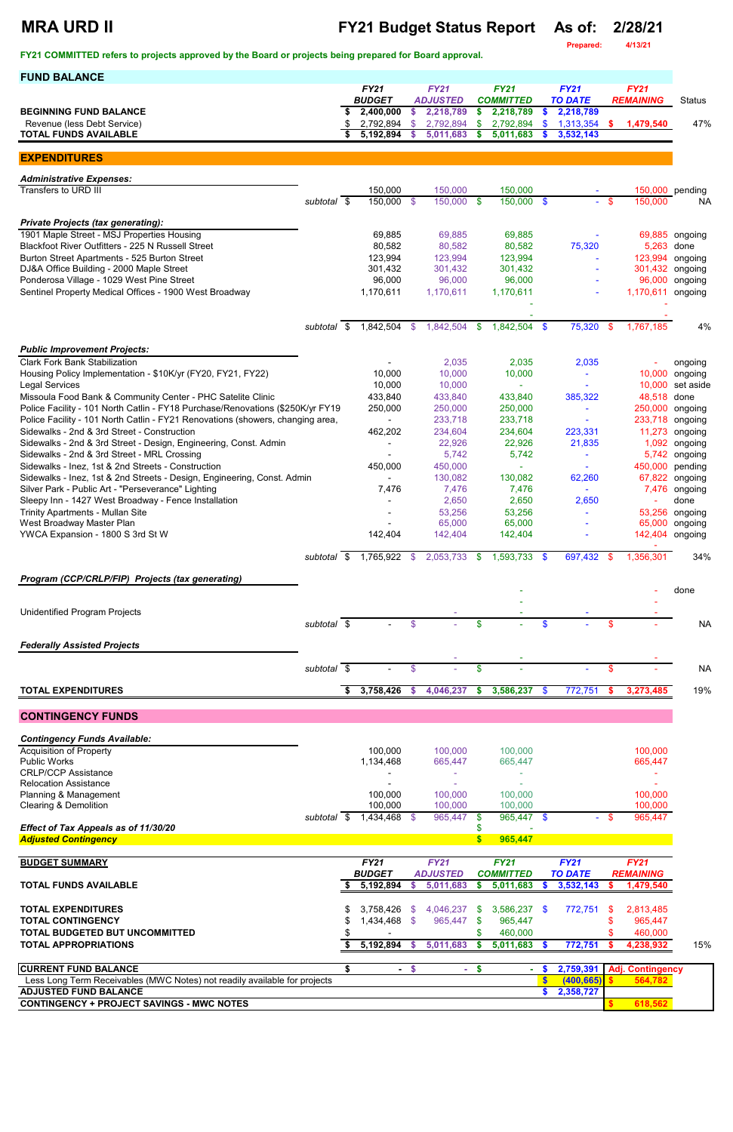# **MRA URD II FY21 Budget Status Report As of: 2/28/21**

**Prepared: 4/13/21**

| <b>FUND BALANCE</b>                                                                                                                           |             |    |                              |         |                                |                                 |                                 |                        |                               |          |                                 |                           |
|-----------------------------------------------------------------------------------------------------------------------------------------------|-------------|----|------------------------------|---------|--------------------------------|---------------------------------|---------------------------------|------------------------|-------------------------------|----------|---------------------------------|---------------------------|
|                                                                                                                                               |             |    | <b>FY21</b><br><b>BUDGET</b> |         | <b>FY21</b><br><b>ADJUSTED</b> |                                 | <b>FY21</b><br><b>COMMITTED</b> |                        | <b>FY21</b><br><b>TO DATE</b> |          | <b>FY21</b><br><b>REMAINING</b> | <b>Status</b>             |
| <b>BEGINNING FUND BALANCE</b>                                                                                                                 |             |    | 2,400,000                    | \$      | 2,218,789                      | \$                              | 2,218,789                       | \$                     | 2,218,789                     |          |                                 |                           |
| Revenue (less Debt Service)<br><b>TOTAL FUNDS AVAILABLE</b>                                                                                   |             |    | 2,792,894<br>5,192,894       | \$<br>S | 2,792,894<br>5,011,683         | \$<br>S                         | 2,792,894<br>5,011,683          | $\boldsymbol{\$}$<br>S | 1,313,354<br>3,532,143        | S.       | 1,479,540                       | 47%                       |
|                                                                                                                                               |             |    |                              |         |                                |                                 |                                 |                        |                               |          |                                 |                           |
| <b>EXPENDITURES</b>                                                                                                                           |             |    |                              |         |                                |                                 |                                 |                        |                               |          |                                 |                           |
| <b>Administrative Expenses:</b>                                                                                                               |             |    |                              |         |                                |                                 |                                 |                        |                               |          |                                 |                           |
| Transfers to URD III                                                                                                                          | subtotal \$ |    | 150,000<br>150,000           | - \$    | 150,000<br>$150,000$ \$        |                                 | 150,000<br>$150,000$ \$         |                        | $\sim$                        | -\$      | 150,000                         | 150,000 pending<br>NA     |
|                                                                                                                                               |             |    |                              |         |                                |                                 |                                 |                        |                               |          |                                 |                           |
| <b>Private Projects (tax generating):</b><br>1901 Maple Street - MSJ Properties Housing                                                       |             |    | 69,885                       |         | 69,885                         |                                 | 69,885                          |                        |                               |          |                                 | 69,885 ongoing            |
| Blackfoot River Outfitters - 225 N Russell Street                                                                                             |             |    | 80,582                       |         | 80,582                         |                                 | 80,582                          |                        | 75,320                        |          | 5,263                           | done                      |
| Burton Street Apartments - 525 Burton Street<br>DJ&A Office Building - 2000 Maple Street                                                      |             |    | 123,994<br>301,432           |         | 123,994<br>301,432             |                                 | 123,994<br>301,432              |                        |                               |          | 123,994<br>301,432              | ongoing<br>ongoing        |
| Ponderosa Village - 1029 West Pine Street                                                                                                     |             |    | 96,000                       |         | 96,000                         |                                 | 96,000                          |                        |                               |          | 96,000                          | ongoing                   |
| Sentinel Property Medical Offices - 1900 West Broadway                                                                                        |             |    | 1,170,611                    |         | 1,170,611                      |                                 | 1,170,611                       |                        |                               |          | 1,170,611                       | ongoing                   |
|                                                                                                                                               |             |    |                              |         |                                |                                 |                                 |                        |                               |          |                                 |                           |
|                                                                                                                                               | subtotal    | \$ | 1,842,504                    | \$      | 1,842,504                      | \$                              | 1,842,504                       | - \$                   | 75,320                        | \$       | 1,767,185                       | 4%                        |
|                                                                                                                                               |             |    |                              |         |                                |                                 |                                 |                        |                               |          |                                 |                           |
| <b>Public Improvement Projects:</b><br><b>Clark Fork Bank Stabilization</b>                                                                   |             |    |                              |         | 2,035                          |                                 | 2,035                           |                        | 2,035                         |          |                                 | ongoing                   |
| Housing Policy Implementation - \$10K/yr (FY20, FY21, FY22)                                                                                   |             |    | 10,000                       |         | 10,000                         |                                 | 10,000                          |                        | $\blacksquare$                |          | 10,000                          | ongoing                   |
| <b>Legal Services</b>                                                                                                                         |             |    | 10,000                       |         | 10,000                         |                                 |                                 |                        |                               |          | 10,000                          | set aside                 |
| Missoula Food Bank & Community Center - PHC Satelite Clinic<br>Police Facility - 101 North Catlin - FY18 Purchase/Renovations (\$250K/yr FY19 |             |    | 433,840<br>250,000           |         | 433,840<br>250,000             |                                 | 433,840<br>250,000              |                        | 385,322                       |          | 48,518<br>250,000               | done<br>ongoing           |
| Police Facility - 101 North Catlin - FY21 Renovations (showers, changing area,                                                                |             |    |                              |         | 233,718                        |                                 | 233,718                         |                        |                               |          | 233,718                         | ongoing                   |
| Sidewalks - 2nd & 3rd Street - Construction<br>Sidewalks - 2nd & 3rd Street - Design, Engineering, Const. Admin                               |             |    | 462,202                      |         | 234,604<br>22,926              |                                 | 234,604<br>22,926               |                        | 223,331<br>21,835             |          | 11,273<br>1,092                 | ongoing<br>ongoing        |
| Sidewalks - 2nd & 3rd Street - MRL Crossing                                                                                                   |             |    |                              |         | 5,742                          |                                 | 5,742                           |                        |                               |          | 5,742                           | ongoing                   |
| Sidewalks - Inez, 1st & 2nd Streets - Construction                                                                                            |             |    | 450,000                      |         | 450,000                        |                                 |                                 |                        | $\blacksquare$                |          | 450,000                         | pending                   |
| Sidewalks - Inez, 1st & 2nd Streets - Design, Engineering, Const. Admin<br>Silver Park - Public Art - "Perseverance" Lighting                 |             |    | $\blacksquare$<br>7,476      |         | 130,082<br>7,476               |                                 | 130,082<br>7,476                |                        | 62,260<br>$\blacksquare$      |          | 7,476                           | 67,822 ongoing<br>ongoing |
| Sleepy Inn - 1427 West Broadway - Fence Installation                                                                                          |             |    |                              |         | 2,650                          |                                 | 2,650                           |                        | 2,650                         |          |                                 | done                      |
| <b>Trinity Apartments - Mullan Site</b>                                                                                                       |             |    |                              |         | 53,256<br>65,000               |                                 | 53,256                          |                        |                               |          | 53,256<br>65,000                | ongoing                   |
| West Broadway Master Plan<br>YWCA Expansion - 1800 S 3rd St W                                                                                 |             |    | 142,404                      |         | 142,404                        |                                 | 65,000<br>142,404               |                        |                               |          | 142,404                         | ongoing<br>ongoing        |
|                                                                                                                                               |             |    | 1,765,922                    |         | 2,053,733                      |                                 | $1,593,733$ \$                  |                        |                               |          |                                 | 34%                       |
|                                                                                                                                               | subtotal \$ |    |                              | - \$    |                                | - \$                            |                                 |                        | 697,432                       | - \$     | 1,356,301                       |                           |
| Program (CCP/CRLP/FIP) Projects (tax generating)                                                                                              |             |    |                              |         |                                |                                 |                                 |                        |                               |          |                                 |                           |
|                                                                                                                                               |             |    |                              |         |                                |                                 |                                 |                        |                               |          |                                 | done                      |
| <b>Unidentified Program Projects</b>                                                                                                          |             |    |                              |         |                                |                                 |                                 |                        |                               |          |                                 |                           |
|                                                                                                                                               | subtotal \$ |    |                              | \$      |                                | \$                              |                                 | \$                     |                               | \$.      |                                 | <b>NA</b>                 |
| <b>Federally Assisted Projects</b>                                                                                                            |             |    |                              |         |                                |                                 |                                 |                        |                               |          |                                 |                           |
|                                                                                                                                               | subtotal \$ |    |                              | \$      |                                | $\frac{1}{2}$                   |                                 |                        |                               | \$       |                                 | <b>NA</b>                 |
|                                                                                                                                               |             |    |                              |         |                                |                                 |                                 |                        |                               |          |                                 |                           |
| <b>TOTAL EXPENDITURES</b>                                                                                                                     |             | S  | 3,758,426                    | -\$     | 4,046,237                      | $\boldsymbol{\mathsf{s}}$       | 3,586,237                       | \$                     | 772,751                       | <b>S</b> | 3,273,485                       | 19%                       |
| <b>CONTINGENCY FUNDS</b>                                                                                                                      |             |    |                              |         |                                |                                 |                                 |                        |                               |          |                                 |                           |
|                                                                                                                                               |             |    |                              |         |                                |                                 |                                 |                        |                               |          |                                 |                           |
| <b>Contingency Funds Available:</b><br><b>Acquisition of Property</b>                                                                         |             |    | 100,000                      |         | 100,000                        |                                 | 100,000                         |                        |                               |          | 100,000                         |                           |
| <b>Public Works</b>                                                                                                                           |             |    | 1,134,468                    |         | 665,447                        |                                 | 665,447                         |                        |                               |          | 665,447                         |                           |
| <b>CRLP/CCP Assistance</b><br><b>Relocation Assistance</b>                                                                                    |             |    |                              |         |                                |                                 |                                 |                        |                               |          |                                 |                           |
| Planning & Management                                                                                                                         |             |    | 100,000                      |         | 100,000                        |                                 | 100,000                         |                        |                               |          | 100,000                         |                           |
| <b>Clearing &amp; Demolition</b>                                                                                                              | subtotal \$ |    | 100,000<br>$1,434,468$ \$    |         | 100,000<br>965,447             |                                 | 100,000<br>$965,447$ \$         |                        |                               | - \$     | 100,000<br>965,447              |                           |
| Effect of Tax Appeals as of 11/30/20                                                                                                          |             |    |                              |         |                                | \$<br>\$                        |                                 |                        |                               |          |                                 |                           |
| <b>Adjusted Contingency</b>                                                                                                                   |             |    |                              |         |                                | $\mathbf{s}$                    | 965,447                         |                        |                               |          |                                 |                           |
| <b>BUDGET SUMMARY</b>                                                                                                                         |             |    | <b>FY21</b>                  |         | <b>FY21</b>                    |                                 | <b>FY21</b>                     |                        | <b>FY21</b>                   |          | <b>FY21</b>                     |                           |
|                                                                                                                                               |             |    | <b>BUDGET</b>                |         | <b>ADJUSTED</b>                |                                 | <b>COMMITTED</b>                |                        | <b>TO DATE</b>                |          | <b>REMAINING</b>                |                           |
| <b>TOTAL FUNDS AVAILABLE</b>                                                                                                                  |             |    | 5,192,894                    | S       | 5,011,683                      | \$                              | 5,011,683                       |                        | 3,532,143                     |          | 1,479,540                       |                           |
| <b>TOTAL EXPENDITURES</b>                                                                                                                     |             |    | $3,758,426$ \$               |         | 4,046,237 \$                   |                                 | 3,586,237 \$                    |                        | 772,751 \$                    |          | 2,813,485                       |                           |
| <b>TOTAL CONTINGENCY</b>                                                                                                                      |             |    | 1,434,468 \$                 |         | 965,447 \$                     |                                 | 965,447                         |                        |                               |          | 965,447                         |                           |
| TOTAL BUDGETED BUT UNCOMMITTED<br><b>TOTAL APPROPRIATIONS</b>                                                                                 |             |    | 5,192,894 \$                 |         | 5,011,683                      | \$<br>$\boldsymbol{\mathsf{s}}$ | 460,000<br>$5,011,683$ \$       |                        | 772,751                       |          | 460,000<br>4,238,932            | 15%                       |
|                                                                                                                                               |             |    |                              |         |                                |                                 |                                 |                        |                               |          |                                 |                           |
| <b>CURRENT FUND BALANCE</b>                                                                                                                   |             | \$ |                              | $-$ \$  |                                | $-$ \$                          |                                 | $\mathbf{r}$           | 2,759,391                     |          | <b>Adj. Contingency</b>         |                           |
| Less Long Term Receivables (MWC Notes) not readily available for projects<br><b>ADJUSTED FUND BALANCE</b>                                     |             |    |                              |         |                                |                                 |                                 | $\mathbf{s}$<br>\$     | (400, 665)<br>2,358,727       |          | 564,782                         |                           |
| <b>CONTINGENCY + PROJECT SAVINGS - MWC NOTES</b>                                                                                              |             |    |                              |         |                                |                                 |                                 |                        |                               |          | 618,562                         |                           |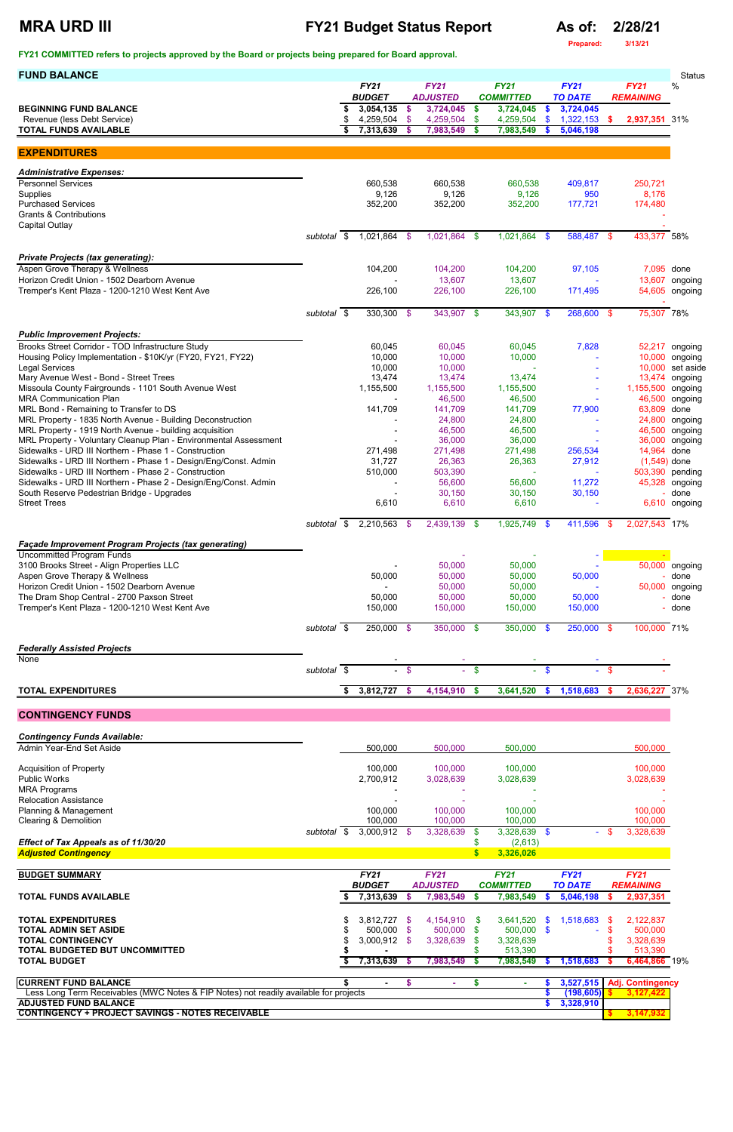## **MRA URD III FY21 Budget Status Report As of: 2/28/21**

**Prepared: 3/13/21**

**FY21 COMMITTED refers to projects approved by the Board or projects being prepared for Board approval.** 

|                                                                                                                                                                                                                                                              | <b>Status</b>             |
|--------------------------------------------------------------------------------------------------------------------------------------------------------------------------------------------------------------------------------------------------------------|---------------------------|
| <b>FY21</b><br><b>FY21</b><br><b>FY21</b><br><b>FY21</b><br><b>FY21</b><br><b>BUDGET</b><br><b>ADJUSTED</b><br><b>COMMITTED</b><br><b>TO DATE</b><br><b>REMAINING</b>                                                                                        | $\%$                      |
| 3,054,135<br>3,724,045<br>3,724,045<br>3,724,045<br><b>BEGINNING FUND BALANCE</b><br>\$<br>$\frac{1}{2}$<br>- \$                                                                                                                                             |                           |
| 1,322,153<br>Revenue (less Debt Service)<br>4,259,504 \$<br>$\mathbf{\$}$<br>4,259,504<br>\$<br>4,259,504<br>2,937,351 31%<br>$\mathbf{s}$<br><b>TOTAL FUNDS AVAILABLE</b><br>7,313,639<br>7,983,549<br>\$<br>7,983,549<br>5,046,198<br>-\$<br>$\mathbf{\$}$ |                           |
|                                                                                                                                                                                                                                                              |                           |
| <b>EXPENDITURES</b>                                                                                                                                                                                                                                          |                           |
| <b>Administrative Expenses:</b>                                                                                                                                                                                                                              |                           |
| <b>Personnel Services</b><br>660,538<br>250,721<br>660,538<br>660,538<br>409,817                                                                                                                                                                             |                           |
| 9,126<br>9,126<br>8,176<br>Supplies<br>9,126<br>950<br>177,721<br><b>Purchased Services</b><br>352,200<br>352,200<br>352,200<br>174,480                                                                                                                      |                           |
| <b>Grants &amp; Contributions</b>                                                                                                                                                                                                                            |                           |
| <b>Capital Outlay</b><br>subtotal \$<br>1,021,864 \$<br>1,021,864 \$<br>1,021,864 \$<br>588,487 \$<br>433,377 58%                                                                                                                                            |                           |
|                                                                                                                                                                                                                                                              |                           |
| <b>Private Projects (tax generating):</b>                                                                                                                                                                                                                    |                           |
| Aspen Grove Therapy & Wellness<br>104,200<br>104,200<br>97,105<br>7,095 done<br>104,200<br>Horizon Credit Union - 1502 Dearborn Avenue<br>13,607<br>13,607                                                                                                   | 13,607 ongoing            |
| Tremper's Kent Plaza - 1200-1210 West Kent Ave<br>226,100<br>226,100<br>226,100<br>171,495                                                                                                                                                                   | 54,605 ongoing            |
| 75,307 78%<br>$330,300$ \$<br>343,907 \$<br>$343,907$ \$<br>268,600 \$<br>subtotal \$                                                                                                                                                                        |                           |
|                                                                                                                                                                                                                                                              |                           |
| <b>Public Improvement Projects:</b>                                                                                                                                                                                                                          |                           |
| Brooks Street Corridor - TOD Infrastructure Study<br>60,045<br>60,045<br>7,828<br>60,045<br>10,000<br>10,000<br>Housing Policy Implementation - \$10K/yr (FY20, FY21, FY22)<br>10,000<br>10,000                                                              | 52,217 ongoing<br>ongoing |
| <b>Legal Services</b><br>10,000<br>10,000                                                                                                                                                                                                                    | 10,000 set aside          |
| Mary Avenue West - Bond - Street Trees<br>13,474<br>13,474<br>13,474<br>Missoula County Fairgrounds - 1101 South Avenue West<br>1,155,500<br>1,155,500<br>1,155,500<br>1,155,500 ongoing                                                                     | 13,474 ongoing            |
| <b>MRA Communication Plan</b><br>46,500<br>46,500                                                                                                                                                                                                            | 46,500 ongoing            |
| MRL Bond - Remaining to Transfer to DS<br>141,709<br>77,900<br>63,809 done<br>141,709<br>141,709                                                                                                                                                             |                           |
| MRL Property - 1835 North Avenue - Building Deconstruction<br>24,800<br>24,800<br>24,800<br>MRL Property - 1919 North Avenue - building acquisition<br>46,500<br>46,500                                                                                      | ongoing<br>46,500 ongoing |
| MRL Property - Voluntary Cleanup Plan - Environmental Assessment<br>36,000<br>36,000<br>36,000                                                                                                                                                               | ongoing                   |
| Sidewalks - URD III Northern - Phase 1 - Construction<br>271,498<br>14,964 done<br>271,498<br>271,498<br>256,534<br>Sidewalks - URD III Northern - Phase 1 - Design/Eng/Const. Admin<br>31,727<br>26,363<br>26,363<br>27,912<br>$(1,549)$ done               |                           |
| Sidewalks - URD III Northern - Phase 2 - Construction<br>510,000<br>503,390<br>503,390 pending                                                                                                                                                               |                           |
| Sidewalks - URD III Northern - Phase 2 - Design/Eng/Const. Admin<br>56,600<br>56,600<br>11,272                                                                                                                                                               | 45,328 ongoing            |
| 30,150<br>South Reserve Pedestrian Bridge - Upgrades<br>30,150<br>30,150<br><b>Street Trees</b><br>6,610<br>6,610<br>6,610                                                                                                                                   | done<br>6,610 ongoing     |
|                                                                                                                                                                                                                                                              |                           |
| $2,210,563$ \$<br>$2,439,139$ \$<br>$1,925,749$ \$<br>411,596 \$<br>2,027,543 17%<br>subtotal \$                                                                                                                                                             |                           |
| Façade Improvement Program Projects (tax generating)                                                                                                                                                                                                         |                           |
| <b>Uncommitted Program Funds</b><br>3100 Brooks Street - Align Properties LLC<br>50,000<br>50,000                                                                                                                                                            | 50,000 ongoing            |
| Aspen Grove Therapy & Wellness<br>50,000<br>50,000<br>50,000<br>50,000                                                                                                                                                                                       | - done                    |
| Horizon Credit Union - 1502 Dearborn Avenue<br>50,000<br>50,000<br>The Dram Shop Central - 2700 Paxson Street<br>50,000<br>50,000<br>50,000<br>50,000                                                                                                        | 50,000 ongoing<br>done    |
| Tremper's Kent Plaza - 1200-1210 West Kent Ave<br>150,000<br>150,000<br>150,000<br>150,000                                                                                                                                                                   | done                      |
| 100,000 71%<br>250,000 \$<br>350,000 \$<br>350,000 \$<br>250,000 \$<br>subtotal \$                                                                                                                                                                           |                           |
|                                                                                                                                                                                                                                                              |                           |
| <b>Federally Assisted Projects</b><br><b>None</b>                                                                                                                                                                                                            |                           |
| subtotal \$<br>$-$ \$<br>$-$ \$<br>$-$ \$<br>$-$ \$                                                                                                                                                                                                          |                           |
| 3,812,727 \$<br>1,518,683<br>4,154,910<br>3,641,520<br>2,636,227 37%<br><b>TOTAL EXPENDITURES</b><br>\$<br>- \$<br>$\boldsymbol{\mathsf{s}}$<br>-S                                                                                                           |                           |
|                                                                                                                                                                                                                                                              |                           |
| <b>CONTINGENCY FUNDS</b>                                                                                                                                                                                                                                     |                           |
| <b>Contingency Funds Available:</b>                                                                                                                                                                                                                          |                           |
| Admin Year-End Set Aside<br>500,000<br>500,000<br>500,000<br>500,000                                                                                                                                                                                         |                           |
| 100,000<br>100,000<br>100,000<br><b>Acquisition of Property</b><br>100,000                                                                                                                                                                                   |                           |
| <b>Public Works</b><br>2,700,912<br>3,028,639<br>3,028,639<br>3,028,639                                                                                                                                                                                      |                           |
| <b>MRA Programs</b><br><b>Relocation Assistance</b>                                                                                                                                                                                                          |                           |

Planning & Management 100,000 100,000 100,000 100,000 Clearing & Demolition 100,000 100,000 100,000 100,000

|                                                                                       | subtotal | $3,000,912$ \$                   |  | 3,328,639   |                  | 3,328,639    |                | $\sim$           | -S | 3,328,639               |  |
|---------------------------------------------------------------------------------------|----------|----------------------------------|--|-------------|------------------|--------------|----------------|------------------|----|-------------------------|--|
| Effect of Tax Appeals as of 11/30/20                                                  |          |                                  |  |             |                  | (2,613)      |                |                  |    |                         |  |
| <b>Adjusted Contingency</b>                                                           |          |                                  |  |             |                  | 3,326,026    |                |                  |    |                         |  |
|                                                                                       |          |                                  |  |             |                  |              |                |                  |    |                         |  |
| <b>BUDGET SUMMARY</b>                                                                 |          | <b>FY21</b>                      |  | <b>FY21</b> |                  | <b>FY21</b>  |                | <b>FY21</b>      |    | <b>FY21</b>             |  |
|                                                                                       |          | <b>BUDGET</b><br><b>ADJUSTED</b> |  |             | <b>COMMITTED</b> |              | <b>TO DATE</b> | <b>REMAINING</b> |    |                         |  |
| TOTAL FUNDS AVAILABLE                                                                 |          | 7,313,639                        |  | 7,983,549   |                  | 7,983,549    |                | 5,046,198        |    | 2,937,351               |  |
|                                                                                       |          |                                  |  |             |                  |              |                |                  |    |                         |  |
| <b>TOTAL EXPENDITURES</b>                                                             |          | $3,812,727$ \$                   |  | 4,154,910   | -SS              | 3,641,520    | - SS           | 1,518,683 \$     |    | 2,122,837               |  |
| TOTAL ADMIN SET ASIDE                                                                 |          | 500.000 \$                       |  | 500,000     | - \$             | $500.000$ \$ |                |                  |    | 500,000                 |  |
| <b>TOTAL CONTINGENCY</b>                                                              |          | $3,000,912$ \$                   |  | 3,328,639   | <b>S</b>         | 3,328,639    |                |                  |    | 3,328,639               |  |
| TOTAL BUDGETED BUT UNCOMMITTED                                                        |          |                                  |  |             |                  | 513,390      |                |                  |    | 513,390                 |  |
| <b>TOTAL BUDGET</b>                                                                   |          | 7,313,639                        |  | 7,983,549   |                  | 7,983,549    |                | 1,518,683        |    | 6,464,866 19%           |  |
| <b>CURRENT FUND BALANCE</b>                                                           |          |                                  |  |             |                  |              |                | 3,527,515        |    | <b>Adj. Contingency</b> |  |
| Less Long Term Receivables (MWC Notes & FIP Notes) not readily available for projects |          |                                  |  |             |                  |              |                | (198, 605)       |    | 3,127,422               |  |
| <b>ADJUSTED FUND BALANCE</b>                                                          |          |                                  |  |             |                  |              |                | 3,328,910        |    |                         |  |
| <b>CONTINGENCY + PROJECT SAVINGS - NOTES RECEIVABLE</b>                               |          |                                  |  |             |                  |              |                |                  |    | 3,147,932               |  |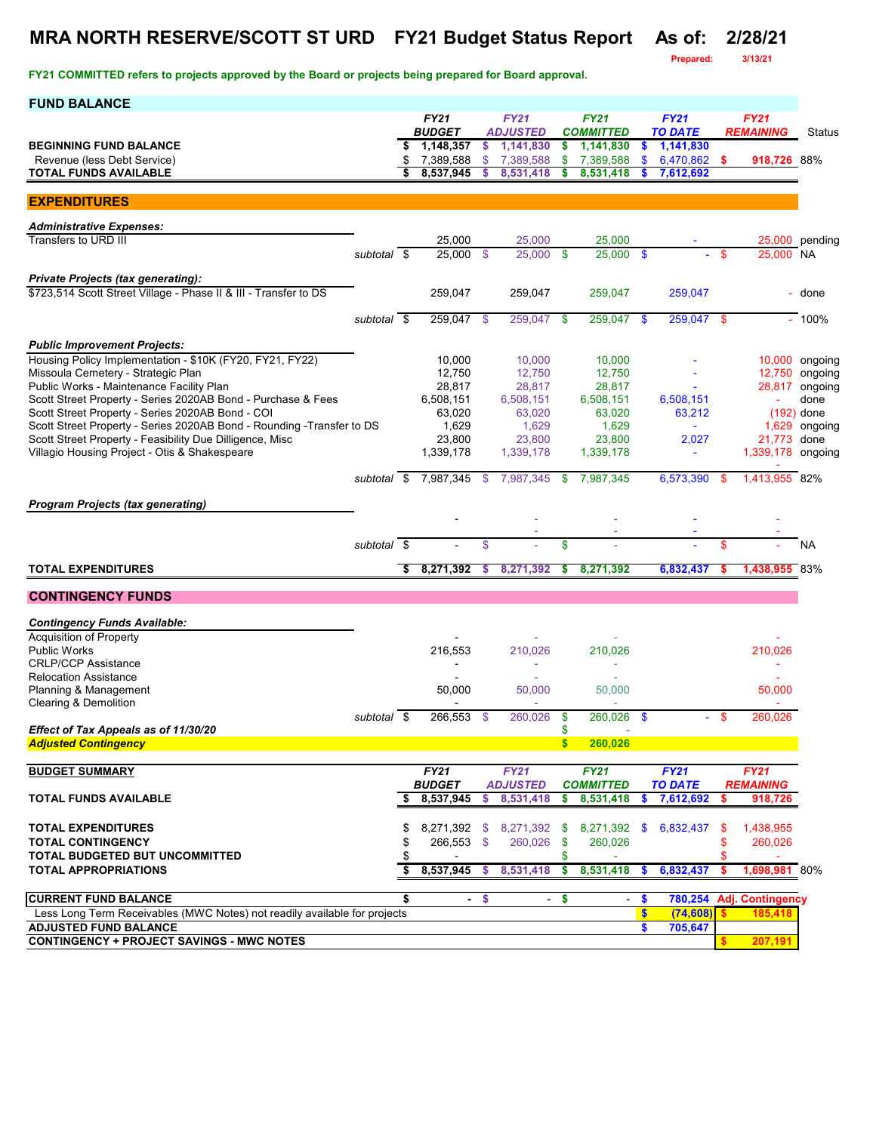# **MRA NORTH RESERVE/SCOTT ST URD FY21 Budget Status Report As of: 2/28/21**

**Prepared: 3/13/21**

| <b>FUND BALANCE</b>                                                                                           |             |    |                            |               |                              |               |                               |                  |                             |      |                          |                           |
|---------------------------------------------------------------------------------------------------------------|-------------|----|----------------------------|---------------|------------------------------|---------------|-------------------------------|------------------|-----------------------------|------|--------------------------|---------------------------|
|                                                                                                               |             |    | <b>FY21</b>                |               | <b>FY21</b>                  |               | <b>FY21</b>                   |                  | <b>FY21</b>                 |      | <b>FY21</b>              |                           |
| <b>BEGINNING FUND BALANCE</b>                                                                                 |             | \$ | <b>BUDGET</b><br>1,148,357 | \$.           | <b>ADJUSTED</b><br>1,141,830 | \$            | <b>COMMITTED</b><br>1,141,830 | \$               | <b>TO DATE</b><br>1,141,830 |      | <b>REMAINING</b>         | <b>Status</b>             |
| Revenue (less Debt Service)                                                                                   |             | \$ | 7,389,588                  | \$            | 7,389,588                    | \$            | 7,389,588                     | \$               | 6,470,862                   | -S   | 918,726 88%              |                           |
| <b>TOTAL FUNDS AVAILABLE</b>                                                                                  |             | \$ | 8,537,945                  | \$            | 8,531,418                    | \$            | 8,531,418                     | S                | 7,612,692                   |      |                          |                           |
|                                                                                                               |             |    |                            |               |                              |               |                               |                  |                             |      |                          |                           |
| <b>EXPENDITURES</b>                                                                                           |             |    |                            |               |                              |               |                               |                  |                             |      |                          |                           |
| <b>Administrative Expenses:</b>                                                                               |             |    |                            |               |                              |               |                               |                  |                             |      |                          |                           |
| Transfers to URD III                                                                                          |             |    | 25,000                     |               | 25,000                       |               | 25,000                        |                  |                             |      |                          | 25,000 pending            |
|                                                                                                               | subtotal \$ |    | 25,000                     | - \$          | 25,000                       | $\mathbf{s}$  | $25,000$ \$                   |                  |                             | -\$  | 25,000 NA                |                           |
|                                                                                                               |             |    |                            |               |                              |               |                               |                  |                             |      |                          |                           |
| <b>Private Projects (tax generating):</b><br>\$723,514 Scott Street Village - Phase II & III - Transfer to DS |             |    | 259,047                    |               | 259,047                      |               | 259,047                       |                  | 259,047                     |      |                          | - done                    |
|                                                                                                               |             |    |                            |               |                              |               |                               |                  |                             |      |                          |                           |
|                                                                                                               | subtotal \$ |    | 259,047                    | - \$          | 259,047                      | $\mathbf{\$}$ | $259,047$ \$                  |                  | $259,047$ \$                |      |                          | $-100%$                   |
|                                                                                                               |             |    |                            |               |                              |               |                               |                  |                             |      |                          |                           |
| <b>Public Improvement Projects:</b>                                                                           |             |    |                            |               |                              |               |                               |                  |                             |      |                          |                           |
| Housing Policy Implementation - \$10K (FY20, FY21, FY22)<br>Missoula Cemetery - Strategic Plan                |             |    | 10,000<br>12,750           |               | 10,000<br>12,750             |               | 10,000<br>12,750              |                  |                             |      |                          | 10,000 ongoing<br>ongoing |
| Public Works - Maintenance Facility Plan                                                                      |             |    | 28,817                     |               | 28,817                       |               | 28,817                        |                  |                             |      | 12,750<br>28,817         | ongoing                   |
| Scott Street Property - Series 2020AB Bond - Purchase & Fees                                                  |             |    | 6,508,151                  |               | 6,508,151                    |               | 6,508,151                     |                  | 6,508,151                   |      | ÷                        | done                      |
| Scott Street Property - Series 2020AB Bond - COI                                                              |             |    | 63,020                     |               | 63,020                       |               | 63,020                        |                  | 63,212                      |      |                          | $(192)$ done              |
| Scott Street Property - Series 2020AB Bond - Rounding - Transfer to DS                                        |             |    | 1,629                      |               | 1,629                        |               | 1,629                         |                  | $\blacksquare$              |      | 1,629                    | ongoing                   |
| Scott Street Property - Feasibility Due Dilligence, Misc                                                      |             |    | 23,800                     |               | 23,800                       |               | 23,800                        |                  | 2,027                       |      | 21,773                   | done                      |
| Villagio Housing Project - Otis & Shakespeare                                                                 |             |    | 1,339,178                  |               | 1,339,178                    |               | 1,339,178                     |                  | $\blacksquare$              |      | 1,339,178 ongoing        |                           |
|                                                                                                               |             |    |                            |               |                              |               |                               |                  |                             |      |                          |                           |
|                                                                                                               | subtotal \$ |    | 7,987,345                  | \$            | 7,987,345                    | \$            | 7,987,345                     |                  | 6,573,390                   | - \$ | 1,413,955 82%            |                           |
| <b>Program Projects (tax generating)</b>                                                                      |             |    |                            |               |                              |               |                               |                  |                             |      |                          |                           |
|                                                                                                               |             |    |                            |               |                              |               |                               |                  |                             |      |                          |                           |
|                                                                                                               | subtotal \$ |    |                            | $\mathsf{\$}$ |                              | \$            |                               |                  |                             | \$   |                          | <b>NA</b>                 |
|                                                                                                               |             |    |                            |               |                              |               |                               |                  |                             |      |                          |                           |
| <b>TOTAL EXPENDITURES</b>                                                                                     |             | \$ | 8,271,392                  | \$            | 8,271,392                    | \$            | 8,271,392                     |                  | 6,832,437                   | s    | 1,438,955 83%            |                           |
| <b>CONTINGENCY FUNDS</b>                                                                                      |             |    |                            |               |                              |               |                               |                  |                             |      |                          |                           |
|                                                                                                               |             |    |                            |               |                              |               |                               |                  |                             |      |                          |                           |
| <b>Contingency Funds Available:</b>                                                                           |             |    |                            |               |                              |               |                               |                  |                             |      |                          |                           |
| <b>Acquisition of Property</b>                                                                                |             |    |                            |               |                              |               |                               |                  |                             |      |                          |                           |
| <b>Public Works</b><br><b>CRLP/CCP Assistance</b>                                                             |             |    | 216,553                    |               | 210,026                      |               | 210,026                       |                  |                             |      | 210,026                  |                           |
| <b>Relocation Assistance</b>                                                                                  |             |    |                            |               |                              |               |                               |                  |                             |      |                          |                           |
| Planning & Management                                                                                         |             |    | 50,000                     |               | 50,000                       |               | 50,000                        |                  |                             |      | 50,000                   |                           |
| Clearing & Demolition                                                                                         |             |    |                            |               |                              |               |                               |                  |                             |      |                          |                           |
|                                                                                                               | subtotal \$ |    | 266,553                    | - \$          | 260,026                      | \$            | 260,026                       | -\$              |                             | -\$  | 260.026                  |                           |
| Effect of Tax Appeals as of 11/30/20                                                                          |             |    |                            |               |                              | \$            |                               |                  |                             |      |                          |                           |
| <b>Adjusted Contingency</b>                                                                                   |             |    |                            |               |                              | <b>S</b>      | 260,026                       |                  |                             |      |                          |                           |
| <b>BUDGET SUMMARY</b>                                                                                         |             |    | <b>FY21</b>                |               | <b>FY21</b>                  |               | <b>FY21</b>                   |                  | <b>FY21</b>                 |      | FY21                     |                           |
|                                                                                                               |             |    | <b>BUDGET</b>              |               | <b>ADJUSTED</b>              |               | <b>COMMITTED</b>              |                  | <b>TO DATE</b>              |      | <b>REMAINING</b>         |                           |
| <b>TOTAL FUNDS AVAILABLE</b>                                                                                  |             | \$ | 8,537,945                  | \$            | 8,531,418                    | \$            | 8,531,418                     | s.               | 7,612,692                   | S    | 918,726                  |                           |
|                                                                                                               |             |    |                            |               |                              |               |                               |                  |                             |      |                          |                           |
| <b>TOTAL EXPENDITURES</b>                                                                                     |             | S  |                            |               | 8,271,392 \$ 8,271,392       | \$            |                               |                  | 8,271,392 \$ 6,832,437      | - \$ | 1,438,955                |                           |
| <b>TOTAL CONTINGENCY</b>                                                                                      |             |    | 266,553 \$                 |               | 260,026                      | \$            | 260,026                       |                  |                             | \$   | 260,026                  |                           |
| TOTAL BUDGETED BUT UNCOMMITTED                                                                                |             | \$ |                            |               |                              | S             |                               |                  |                             |      |                          |                           |
| <b>TOTAL APPROPRIATIONS</b>                                                                                   |             | \$ | 8,537,945                  | \$            | 8,531,418                    | \$            | 8,531,418                     | $\mathbf{\$}$    | 6,832,437                   | -\$  | 1,698,981 80%            |                           |
|                                                                                                               |             |    |                            |               |                              |               |                               |                  |                             |      |                          |                           |
| <b>CURRENT FUND BALANCE</b>                                                                                   |             | \$ |                            | $-5$          | ÷.                           | \$            | ÷.                            | \$               |                             |      | 780,254 Adj. Contingency |                           |
| Less Long Term Receivables (MWC Notes) not readily available for projects<br><b>ADJUSTED FUND BALANCE</b>     |             |    |                            |               |                              |               |                               | $\sqrt{3}$<br>\$ | (74, 608)<br>705,647        | S    | 185,418                  |                           |
| <b>CONTINGENCY + PROJECT SAVINGS - MWC NOTES</b>                                                              |             |    |                            |               |                              |               |                               |                  |                             | s.   | 207,191                  |                           |